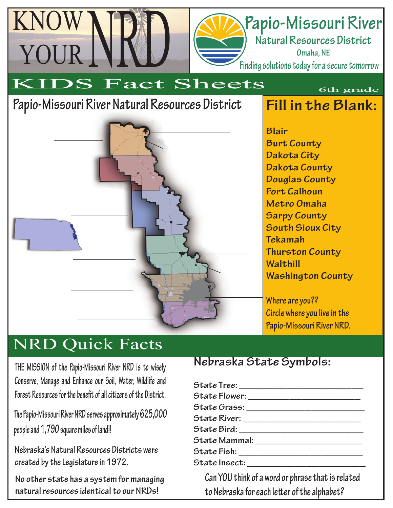## **Papio-Missouri River**

**Natural Resources District Omaha, NE**

**Finding solutions today for a secure tomorrow**

# KIDS Fact Sheets

### **Papio-Missouri River Natural Resources District**

KNOW

YOUR



**Fill in the Blank:**

6th grade

**Blair Burt County Dakota City Dakota County Douglas County Fort Calhoun Metro Omaha Sarpy County South Sioux City Tekamah Thurston County Walthill Washington County**

**Where are you?? Circle where you live in the Papio-Missouri River NRD.**

### NRD Quick Facts

**THE MISSION of the Papio-Missouri River NRD is to wisely Conserve, Manage and Enhance our Soil, Water, Wildlife and**  Forest Resources for the benefit of all citizens of the District.

**The Papio-Missouri River NRD serves approximately 625,000 people and 1,790 square miles of land!!**

**Nebraska's Natural Resources Districts were created by the Legislature in 1972.**

**No other state has a system for managing natural resources identical to our NRDs!**

### **Nebraska State Symbols:**

| State Tree: _______________________________ |  |  |
|---------------------------------------------|--|--|
|                                             |  |  |
|                                             |  |  |
|                                             |  |  |
|                                             |  |  |
| State Mammal: _______________________       |  |  |
|                                             |  |  |
|                                             |  |  |
|                                             |  |  |

**Can YOU think of a word or phrase that is related**  to Nebraska for each letter of the alphabet?